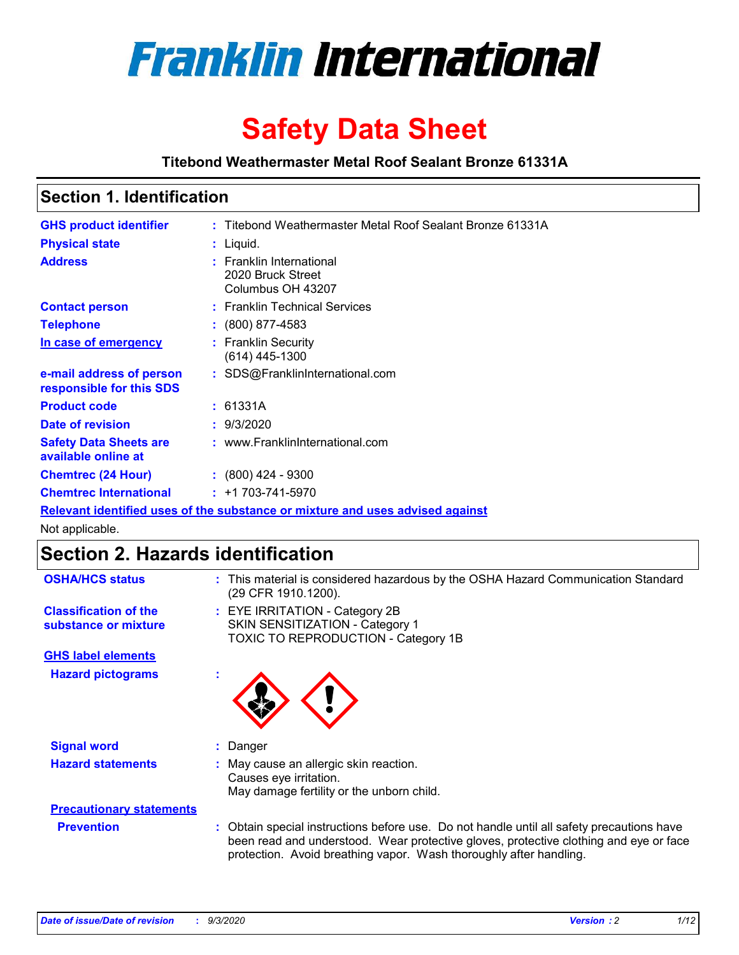

# **Safety Data Sheet**

**Titebond Weathermaster Metal Roof Sealant Bronze 61331A**

### **Section 1. Identification**

| <b>GHS product identifier</b>                                                 |  | : Titebond Weathermaster Metal Roof Sealant Bronze 61331A          |  |  |
|-------------------------------------------------------------------------------|--|--------------------------------------------------------------------|--|--|
| <b>Physical state</b>                                                         |  | : Liquid.                                                          |  |  |
| <b>Address</b>                                                                |  | : Franklin International<br>2020 Bruck Street<br>Columbus OH 43207 |  |  |
| <b>Contact person</b>                                                         |  | : Franklin Technical Services                                      |  |  |
| <b>Telephone</b>                                                              |  | $\div$ (800) 877-4583                                              |  |  |
| In case of emergency                                                          |  | : Franklin Security<br>$(614)$ 445-1300                            |  |  |
| e-mail address of person<br>responsible for this SDS                          |  | : SDS@FranklinInternational.com                                    |  |  |
| <b>Product code</b>                                                           |  | : 61331A                                                           |  |  |
| Date of revision                                                              |  | : 9/3/2020                                                         |  |  |
| <b>Safety Data Sheets are</b><br>available online at                          |  | : www.FranklinInternational.com                                    |  |  |
| <b>Chemtrec (24 Hour)</b>                                                     |  | $: (800)$ 424 - 9300                                               |  |  |
| <b>Chemtrec International</b>                                                 |  | $: +1703 - 741 - 5970$                                             |  |  |
| Relevant identified uses of the substance or mixture and uses advised against |  |                                                                    |  |  |

Not applicable.

## **Section 2. Hazards identification**

| <b>OSHA/HCS status</b>                               |    | : This material is considered hazardous by the OSHA Hazard Communication Standard<br>(29 CFR 1910.1200).                                                                                                                                                 |
|------------------------------------------------------|----|----------------------------------------------------------------------------------------------------------------------------------------------------------------------------------------------------------------------------------------------------------|
| <b>Classification of the</b><br>substance or mixture |    | : EYE IRRITATION - Category 2B<br>SKIN SENSITIZATION - Category 1<br>TOXIC TO REPRODUCTION - Category 1B                                                                                                                                                 |
| <b>GHS label elements</b>                            |    |                                                                                                                                                                                                                                                          |
| <b>Hazard pictograms</b>                             | ٠  |                                                                                                                                                                                                                                                          |
| <b>Signal word</b>                                   | ÷. | Danger                                                                                                                                                                                                                                                   |
| <b>Hazard statements</b>                             |    | May cause an allergic skin reaction.<br>Causes eye irritation.<br>May damage fertility or the unborn child.                                                                                                                                              |
| <b>Precautionary statements</b>                      |    |                                                                                                                                                                                                                                                          |
| <b>Prevention</b>                                    |    | : Obtain special instructions before use. Do not handle until all safety precautions have<br>been read and understood. Wear protective gloves, protective clothing and eye or face<br>protection. Avoid breathing vapor. Wash thoroughly after handling. |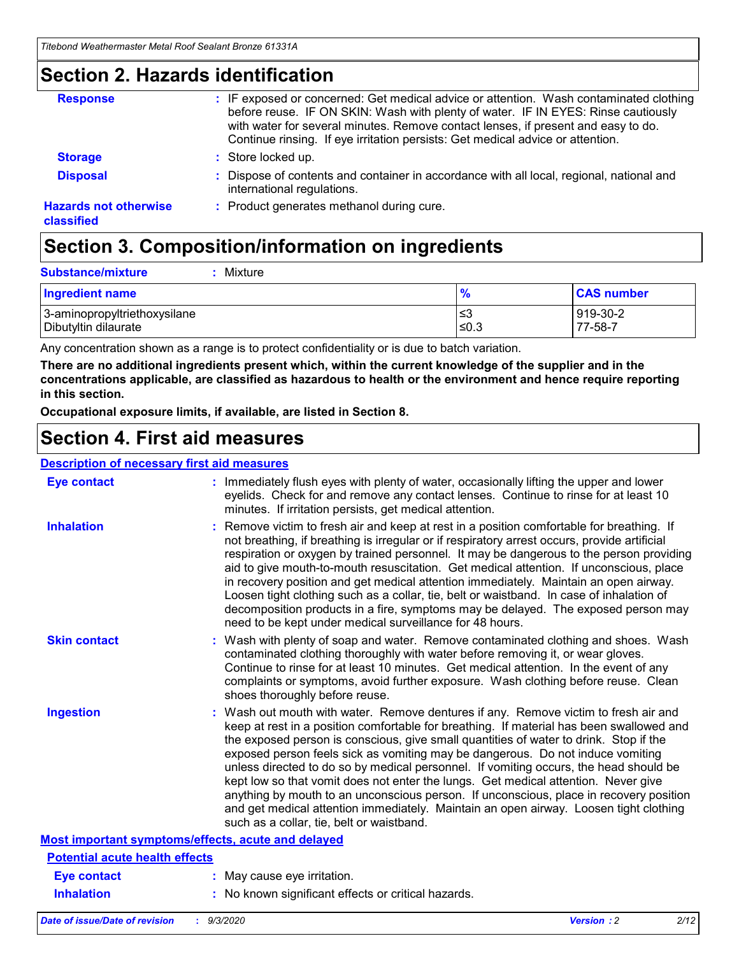### **Section 2. Hazards identification**

| <b>Response</b>                            | : IF exposed or concerned: Get medical advice or attention. Wash contaminated clothing<br>before reuse. IF ON SKIN: Wash with plenty of water. IF IN EYES: Rinse cautiously<br>with water for several minutes. Remove contact lenses, if present and easy to do.<br>Continue rinsing. If eye irritation persists: Get medical advice or attention. |
|--------------------------------------------|----------------------------------------------------------------------------------------------------------------------------------------------------------------------------------------------------------------------------------------------------------------------------------------------------------------------------------------------------|
| <b>Storage</b>                             | : Store locked up.                                                                                                                                                                                                                                                                                                                                 |
| <b>Disposal</b>                            | : Dispose of contents and container in accordance with all local, regional, national and<br>international regulations.                                                                                                                                                                                                                             |
| <b>Hazards not otherwise</b><br>classified | : Product generates methanol during cure.                                                                                                                                                                                                                                                                                                          |

## **Section 3. Composition/information on ingredients**

| <b>Substance/mixture</b> |  | Mixture |
|--------------------------|--|---------|
|--------------------------|--|---------|

| <b>Ingredient name</b>       | $\frac{9}{6}$ | <b>CAS number</b> |
|------------------------------|---------------|-------------------|
| 3-aminopropyltriethoxysilane | ՝≤3           | 919-30-2          |
| Dibutyltin dilaurate         | ∣≤0.3         | 77-58-7           |

Any concentration shown as a range is to protect confidentiality or is due to batch variation.

**There are no additional ingredients present which, within the current knowledge of the supplier and in the concentrations applicable, are classified as hazardous to health or the environment and hence require reporting in this section.**

**Occupational exposure limits, if available, are listed in Section 8.**

### **Section 4. First aid measures**

| <b>Description of necessary first aid measures</b> |                                                                                                                                                                                                                                                                                                                                                                                                                                                                                                                                                                                                                                                                                                                                                                           |
|----------------------------------------------------|---------------------------------------------------------------------------------------------------------------------------------------------------------------------------------------------------------------------------------------------------------------------------------------------------------------------------------------------------------------------------------------------------------------------------------------------------------------------------------------------------------------------------------------------------------------------------------------------------------------------------------------------------------------------------------------------------------------------------------------------------------------------------|
| <b>Eye contact</b>                                 | : Immediately flush eyes with plenty of water, occasionally lifting the upper and lower<br>eyelids. Check for and remove any contact lenses. Continue to rinse for at least 10<br>minutes. If irritation persists, get medical attention.                                                                                                                                                                                                                                                                                                                                                                                                                                                                                                                                 |
| <b>Inhalation</b>                                  | : Remove victim to fresh air and keep at rest in a position comfortable for breathing. If<br>not breathing, if breathing is irregular or if respiratory arrest occurs, provide artificial<br>respiration or oxygen by trained personnel. It may be dangerous to the person providing<br>aid to give mouth-to-mouth resuscitation. Get medical attention. If unconscious, place<br>in recovery position and get medical attention immediately. Maintain an open airway.<br>Loosen tight clothing such as a collar, tie, belt or waistband. In case of inhalation of<br>decomposition products in a fire, symptoms may be delayed. The exposed person may<br>need to be kept under medical surveillance for 48 hours.                                                       |
| <b>Skin contact</b>                                | : Wash with plenty of soap and water. Remove contaminated clothing and shoes. Wash<br>contaminated clothing thoroughly with water before removing it, or wear gloves.<br>Continue to rinse for at least 10 minutes. Get medical attention. In the event of any<br>complaints or symptoms, avoid further exposure. Wash clothing before reuse. Clean<br>shoes thoroughly before reuse.                                                                                                                                                                                                                                                                                                                                                                                     |
| <b>Ingestion</b>                                   | : Wash out mouth with water. Remove dentures if any. Remove victim to fresh air and<br>keep at rest in a position comfortable for breathing. If material has been swallowed and<br>the exposed person is conscious, give small quantities of water to drink. Stop if the<br>exposed person feels sick as vomiting may be dangerous. Do not induce vomiting<br>unless directed to do so by medical personnel. If vomiting occurs, the head should be<br>kept low so that vomit does not enter the lungs. Get medical attention. Never give<br>anything by mouth to an unconscious person. If unconscious, place in recovery position<br>and get medical attention immediately. Maintain an open airway. Loosen tight clothing<br>such as a collar, tie, belt or waistband. |
| Most important symptoms/effects, acute and delayed |                                                                                                                                                                                                                                                                                                                                                                                                                                                                                                                                                                                                                                                                                                                                                                           |
| <b>Potential acute health effects</b>              |                                                                                                                                                                                                                                                                                                                                                                                                                                                                                                                                                                                                                                                                                                                                                                           |
| <b>Eye contact</b>                                 | : May cause eye irritation.                                                                                                                                                                                                                                                                                                                                                                                                                                                                                                                                                                                                                                                                                                                                               |
| <b>Inhalation</b>                                  | : No known significant effects or critical hazards.                                                                                                                                                                                                                                                                                                                                                                                                                                                                                                                                                                                                                                                                                                                       |
|                                                    |                                                                                                                                                                                                                                                                                                                                                                                                                                                                                                                                                                                                                                                                                                                                                                           |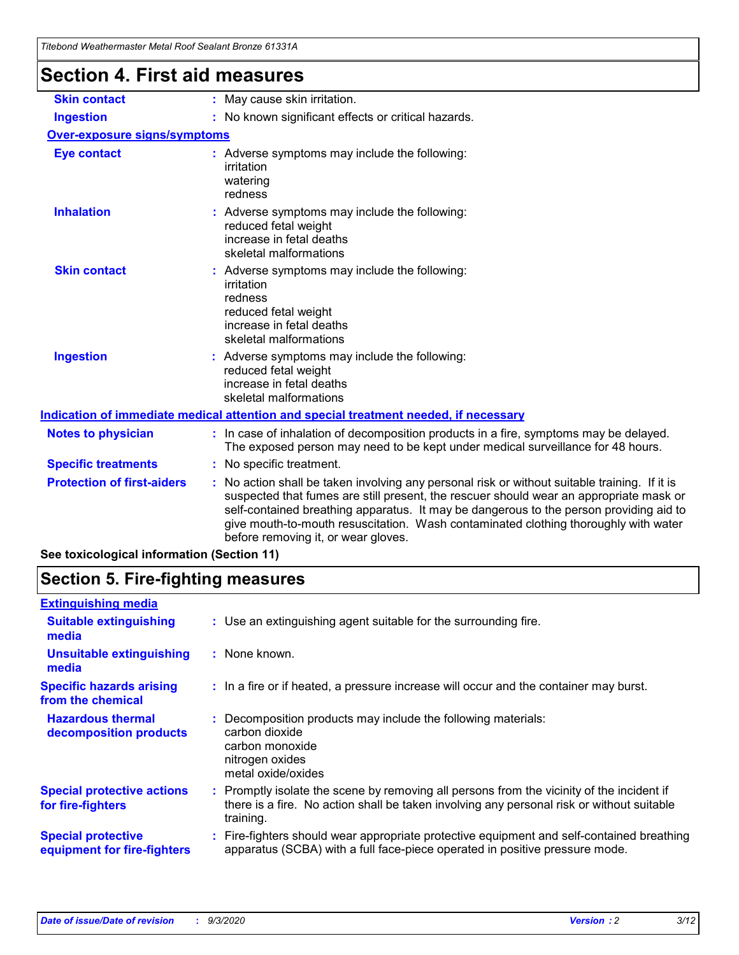| Titebond Weathermaster Metal Roof Sealaht Bronze 61331A |                                                                                                                                                                                                                                                                                                                                                                                                                 |
|---------------------------------------------------------|-----------------------------------------------------------------------------------------------------------------------------------------------------------------------------------------------------------------------------------------------------------------------------------------------------------------------------------------------------------------------------------------------------------------|
| <b>Section 4. First aid measures</b>                    |                                                                                                                                                                                                                                                                                                                                                                                                                 |
| <b>Skin contact</b>                                     | : May cause skin irritation.                                                                                                                                                                                                                                                                                                                                                                                    |
| <b>Ingestion</b>                                        | : No known significant effects or critical hazards.                                                                                                                                                                                                                                                                                                                                                             |
| <b>Over-exposure signs/symptoms</b>                     |                                                                                                                                                                                                                                                                                                                                                                                                                 |
| <b>Eye contact</b>                                      | : Adverse symptoms may include the following:<br>irritation<br>watering<br>redness                                                                                                                                                                                                                                                                                                                              |
| <b>Inhalation</b>                                       | : Adverse symptoms may include the following:<br>reduced fetal weight<br>increase in fetal deaths<br>skeletal malformations                                                                                                                                                                                                                                                                                     |
| <b>Skin contact</b>                                     | Adverse symptoms may include the following:<br>irritation<br>redness<br>reduced fetal weight<br>increase in fetal deaths<br>skeletal malformations                                                                                                                                                                                                                                                              |
| <b>Ingestion</b>                                        | : Adverse symptoms may include the following:<br>reduced fetal weight<br>increase in fetal deaths<br>skeletal malformations                                                                                                                                                                                                                                                                                     |
|                                                         | Indication of immediate medical attention and special treatment needed, if necessary                                                                                                                                                                                                                                                                                                                            |
| <b>Notes to physician</b>                               | : In case of inhalation of decomposition products in a fire, symptoms may be delayed.<br>The exposed person may need to be kept under medical surveillance for 48 hours.                                                                                                                                                                                                                                        |
| <b>Specific treatments</b>                              | : No specific treatment.                                                                                                                                                                                                                                                                                                                                                                                        |
| <b>Protection of first-aiders</b>                       | : No action shall be taken involving any personal risk or without suitable training. If it is<br>suspected that fumes are still present, the rescuer should wear an appropriate mask or<br>self-contained breathing apparatus. It may be dangerous to the person providing aid to<br>give mouth-to-mouth resuscitation. Wash contaminated clothing thoroughly with water<br>before removing it, or wear gloves. |

**See toxicological information (Section 11)**

## **Section 5. Fire-fighting measures**

| <b>Extinguishing media</b>                               |                                                                                                                                                                                                     |
|----------------------------------------------------------|-----------------------------------------------------------------------------------------------------------------------------------------------------------------------------------------------------|
| <b>Suitable extinguishing</b><br>media                   | : Use an extinguishing agent suitable for the surrounding fire.                                                                                                                                     |
| <b>Unsuitable extinguishing</b><br>media                 | : None known.                                                                                                                                                                                       |
| <b>Specific hazards arising</b><br>from the chemical     | : In a fire or if heated, a pressure increase will occur and the container may burst.                                                                                                               |
| <b>Hazardous thermal</b><br>decomposition products       | : Decomposition products may include the following materials:<br>carbon dioxide<br>carbon monoxide<br>nitrogen oxides<br>metal oxide/oxides                                                         |
| <b>Special protective actions</b><br>for fire-fighters   | : Promptly isolate the scene by removing all persons from the vicinity of the incident if<br>there is a fire. No action shall be taken involving any personal risk or without suitable<br>training. |
| <b>Special protective</b><br>equipment for fire-fighters | Fire-fighters should wear appropriate protective equipment and self-contained breathing<br>apparatus (SCBA) with a full face-piece operated in positive pressure mode.                              |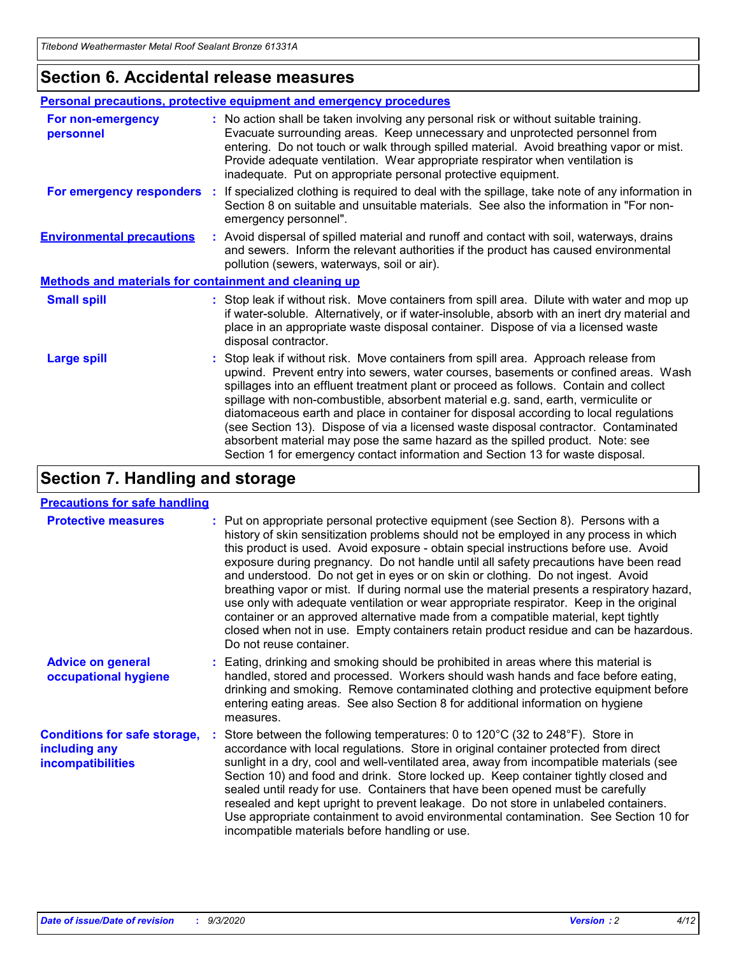### **Section 6. Accidental release measures**

|                                                              | <b>Personal precautions, protective equipment and emergency procedures</b>                                                                                                                                                                                                                                                                                                                                                                                                                                                                                                                                                                                                                                   |
|--------------------------------------------------------------|--------------------------------------------------------------------------------------------------------------------------------------------------------------------------------------------------------------------------------------------------------------------------------------------------------------------------------------------------------------------------------------------------------------------------------------------------------------------------------------------------------------------------------------------------------------------------------------------------------------------------------------------------------------------------------------------------------------|
| For non-emergency<br>personnel                               | : No action shall be taken involving any personal risk or without suitable training.<br>Evacuate surrounding areas. Keep unnecessary and unprotected personnel from<br>entering. Do not touch or walk through spilled material. Avoid breathing vapor or mist.<br>Provide adequate ventilation. Wear appropriate respirator when ventilation is<br>inadequate. Put on appropriate personal protective equipment.                                                                                                                                                                                                                                                                                             |
| For emergency responders                                     | : If specialized clothing is required to deal with the spillage, take note of any information in<br>Section 8 on suitable and unsuitable materials. See also the information in "For non-<br>emergency personnel".                                                                                                                                                                                                                                                                                                                                                                                                                                                                                           |
| <b>Environmental precautions</b>                             | : Avoid dispersal of spilled material and runoff and contact with soil, waterways, drains<br>and sewers. Inform the relevant authorities if the product has caused environmental<br>pollution (sewers, waterways, soil or air).                                                                                                                                                                                                                                                                                                                                                                                                                                                                              |
| <b>Methods and materials for containment and cleaning up</b> |                                                                                                                                                                                                                                                                                                                                                                                                                                                                                                                                                                                                                                                                                                              |
| <b>Small spill</b>                                           | : Stop leak if without risk. Move containers from spill area. Dilute with water and mop up<br>if water-soluble. Alternatively, or if water-insoluble, absorb with an inert dry material and<br>place in an appropriate waste disposal container. Dispose of via a licensed waste<br>disposal contractor.                                                                                                                                                                                                                                                                                                                                                                                                     |
| <b>Large spill</b>                                           | : Stop leak if without risk. Move containers from spill area. Approach release from<br>upwind. Prevent entry into sewers, water courses, basements or confined areas. Wash<br>spillages into an effluent treatment plant or proceed as follows. Contain and collect<br>spillage with non-combustible, absorbent material e.g. sand, earth, vermiculite or<br>diatomaceous earth and place in container for disposal according to local regulations<br>(see Section 13). Dispose of via a licensed waste disposal contractor. Contaminated<br>absorbent material may pose the same hazard as the spilled product. Note: see<br>Section 1 for emergency contact information and Section 13 for waste disposal. |

## **Section 7. Handling and storage**

### **Precautions for safe handling**

| <b>Protective measures</b>                                                       | : Put on appropriate personal protective equipment (see Section 8). Persons with a<br>history of skin sensitization problems should not be employed in any process in which<br>this product is used. Avoid exposure - obtain special instructions before use. Avoid<br>exposure during pregnancy. Do not handle until all safety precautions have been read<br>and understood. Do not get in eyes or on skin or clothing. Do not ingest. Avoid<br>breathing vapor or mist. If during normal use the material presents a respiratory hazard,<br>use only with adequate ventilation or wear appropriate respirator. Keep in the original<br>container or an approved alternative made from a compatible material, kept tightly<br>closed when not in use. Empty containers retain product residue and can be hazardous.<br>Do not reuse container. |
|----------------------------------------------------------------------------------|--------------------------------------------------------------------------------------------------------------------------------------------------------------------------------------------------------------------------------------------------------------------------------------------------------------------------------------------------------------------------------------------------------------------------------------------------------------------------------------------------------------------------------------------------------------------------------------------------------------------------------------------------------------------------------------------------------------------------------------------------------------------------------------------------------------------------------------------------|
| <b>Advice on general</b><br>occupational hygiene                                 | : Eating, drinking and smoking should be prohibited in areas where this material is<br>handled, stored and processed. Workers should wash hands and face before eating,<br>drinking and smoking. Remove contaminated clothing and protective equipment before<br>entering eating areas. See also Section 8 for additional information on hygiene<br>measures.                                                                                                                                                                                                                                                                                                                                                                                                                                                                                    |
| <b>Conditions for safe storage,</b><br>including any<br><i>incompatibilities</i> | Store between the following temperatures: 0 to 120°C (32 to 248°F). Store in<br>accordance with local regulations. Store in original container protected from direct<br>sunlight in a dry, cool and well-ventilated area, away from incompatible materials (see<br>Section 10) and food and drink. Store locked up. Keep container tightly closed and<br>sealed until ready for use. Containers that have been opened must be carefully<br>resealed and kept upright to prevent leakage. Do not store in unlabeled containers.<br>Use appropriate containment to avoid environmental contamination. See Section 10 for<br>incompatible materials before handling or use.                                                                                                                                                                         |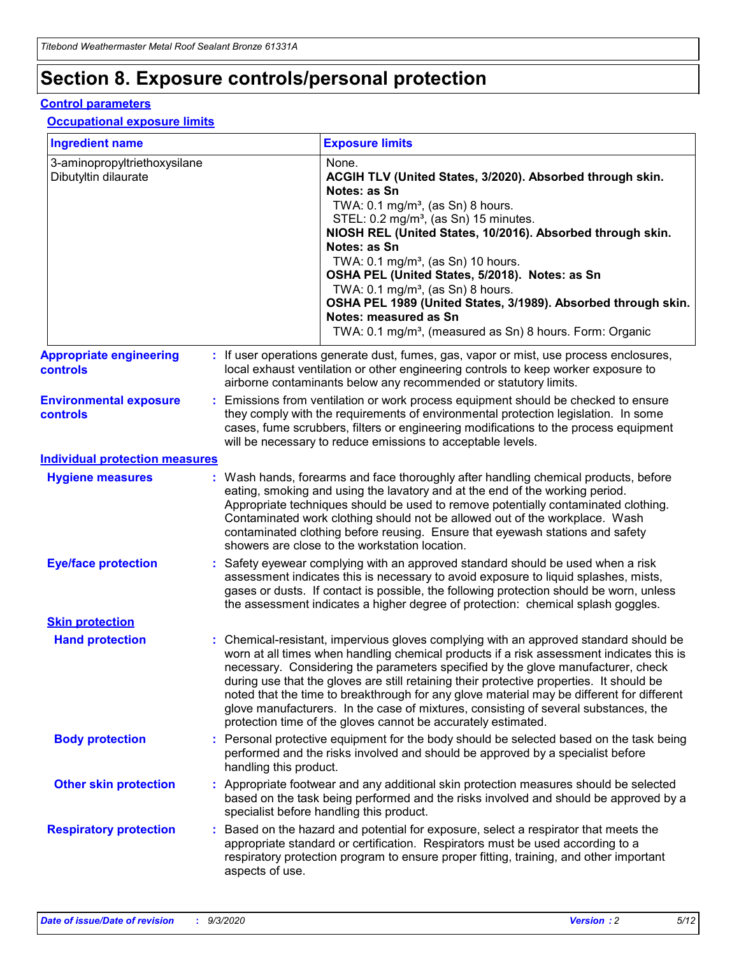## **Section 8. Exposure controls/personal protection**

### **Control parameters**

### **Occupational exposure limits**

| <b>Ingredient name</b>                               |    |                        | <b>Exposure limits</b>                                                                                                                                                                                                                                                                                                                                                                                                                                                                                                                                                                                                 |
|------------------------------------------------------|----|------------------------|------------------------------------------------------------------------------------------------------------------------------------------------------------------------------------------------------------------------------------------------------------------------------------------------------------------------------------------------------------------------------------------------------------------------------------------------------------------------------------------------------------------------------------------------------------------------------------------------------------------------|
| 3-aminopropyltriethoxysilane<br>Dibutyltin dilaurate |    |                        | None.<br>ACGIH TLV (United States, 3/2020). Absorbed through skin.<br>Notes: as Sn<br>TWA: $0.1 \text{ mg/m}^3$ , (as Sn) 8 hours.<br>STEL: 0.2 mg/m <sup>3</sup> , (as Sn) 15 minutes.<br>NIOSH REL (United States, 10/2016). Absorbed through skin.<br>Notes: as Sn<br>TWA: 0.1 mg/m <sup>3</sup> , (as Sn) 10 hours.<br>OSHA PEL (United States, 5/2018). Notes: as Sn<br>TWA: $0.1 \text{ mg/m}^3$ , (as Sn) 8 hours.<br>OSHA PEL 1989 (United States, 3/1989). Absorbed through skin.<br>Notes: measured as Sn<br>TWA: 0.1 mg/m <sup>3</sup> , (measured as Sn) 8 hours. Form: Organic                            |
| <b>Appropriate engineering</b><br>controls           |    |                        | : If user operations generate dust, fumes, gas, vapor or mist, use process enclosures,<br>local exhaust ventilation or other engineering controls to keep worker exposure to<br>airborne contaminants below any recommended or statutory limits.                                                                                                                                                                                                                                                                                                                                                                       |
| <b>Environmental exposure</b><br><b>controls</b>     |    |                        | Emissions from ventilation or work process equipment should be checked to ensure<br>they comply with the requirements of environmental protection legislation. In some<br>cases, fume scrubbers, filters or engineering modifications to the process equipment<br>will be necessary to reduce emissions to acceptable levels.                                                                                                                                                                                                                                                                                          |
| <b>Individual protection measures</b>                |    |                        |                                                                                                                                                                                                                                                                                                                                                                                                                                                                                                                                                                                                                        |
| <b>Hygiene measures</b>                              |    |                        | : Wash hands, forearms and face thoroughly after handling chemical products, before<br>eating, smoking and using the lavatory and at the end of the working period.<br>Appropriate techniques should be used to remove potentially contaminated clothing.<br>Contaminated work clothing should not be allowed out of the workplace. Wash<br>contaminated clothing before reusing. Ensure that eyewash stations and safety<br>showers are close to the workstation location.                                                                                                                                            |
| <b>Eye/face protection</b>                           |    |                        | Safety eyewear complying with an approved standard should be used when a risk<br>assessment indicates this is necessary to avoid exposure to liquid splashes, mists,<br>gases or dusts. If contact is possible, the following protection should be worn, unless<br>the assessment indicates a higher degree of protection: chemical splash goggles.                                                                                                                                                                                                                                                                    |
| <b>Skin protection</b>                               |    |                        |                                                                                                                                                                                                                                                                                                                                                                                                                                                                                                                                                                                                                        |
| <b>Hand protection</b>                               |    |                        | : Chemical-resistant, impervious gloves complying with an approved standard should be<br>worn at all times when handling chemical products if a risk assessment indicates this is<br>necessary. Considering the parameters specified by the glove manufacturer, check<br>during use that the gloves are still retaining their protective properties. It should be<br>noted that the time to breakthrough for any glove material may be different for different<br>glove manufacturers. In the case of mixtures, consisting of several substances, the<br>protection time of the gloves cannot be accurately estimated. |
| <b>Body protection</b>                               |    | handling this product. | Personal protective equipment for the body should be selected based on the task being<br>performed and the risks involved and should be approved by a specialist before                                                                                                                                                                                                                                                                                                                                                                                                                                                |
| <b>Other skin protection</b>                         |    |                        | Appropriate footwear and any additional skin protection measures should be selected<br>based on the task being performed and the risks involved and should be approved by a<br>specialist before handling this product.                                                                                                                                                                                                                                                                                                                                                                                                |
| <b>Respiratory protection</b>                        | ÷. | aspects of use.        | Based on the hazard and potential for exposure, select a respirator that meets the<br>appropriate standard or certification. Respirators must be used according to a<br>respiratory protection program to ensure proper fitting, training, and other important                                                                                                                                                                                                                                                                                                                                                         |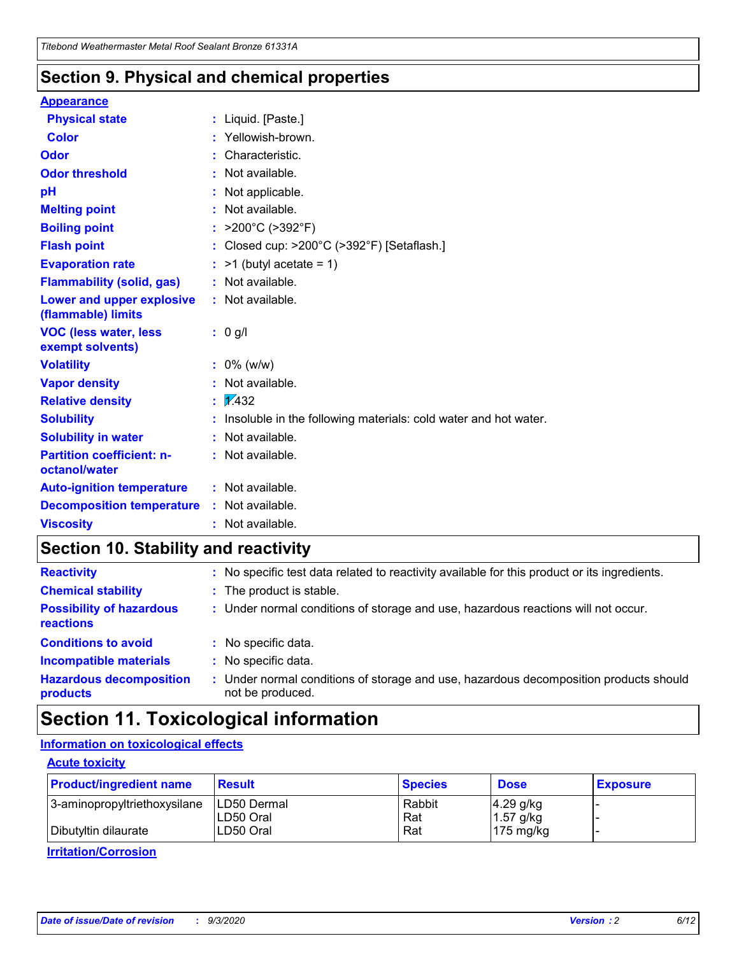### **Section 9. Physical and chemical properties**

### **Appearance**

| <b>Physical state</b>                                  | : Liquid. [Paste.]                                              |
|--------------------------------------------------------|-----------------------------------------------------------------|
| <b>Color</b>                                           | Yellowish-brown.                                                |
| Odor                                                   | : Characteristic.                                               |
| <b>Odor threshold</b>                                  | : Not available.                                                |
| pH                                                     | : Not applicable.                                               |
| <b>Melting point</b>                                   | : Not available.                                                |
| <b>Boiling point</b>                                   | : $>200^{\circ}$ C ( $>392^{\circ}$ F)                          |
| <b>Flash point</b>                                     | : Closed cup: >200°C (>392°F) [Setaflash.]                      |
| <b>Evaporation rate</b>                                | $:$ >1 (butyl acetate = 1)                                      |
| <b>Flammability (solid, gas)</b>                       | : Not available.                                                |
| <b>Lower and upper explosive</b><br>(flammable) limits | : Not available.                                                |
| <b>VOC (less water, less</b><br>exempt solvents)       | $: 0$ g/l                                                       |
| <b>Volatility</b>                                      | $: 0\%$ (w/w)                                                   |
| <b>Vapor density</b>                                   | : Not available.                                                |
| <b>Relative density</b>                                | $\mathbf{1}$ $\mathbf{\mathcal{V}}$ 432                         |
| <b>Solubility</b>                                      | Insoluble in the following materials: cold water and hot water. |
| <b>Solubility in water</b>                             | : Not available.                                                |
| <b>Partition coefficient: n-</b><br>octanol/water      | $:$ Not available.                                              |
| <b>Auto-ignition temperature</b>                       | : Not available.                                                |
| <b>Decomposition temperature</b>                       | : Not available.                                                |
| <b>Viscosity</b>                                       | $:$ Not available.                                              |

### **Section 10. Stability and reactivity**

| <b>Reactivity</b>                            |    | : No specific test data related to reactivity available for this product or its ingredients.            |
|----------------------------------------------|----|---------------------------------------------------------------------------------------------------------|
| <b>Chemical stability</b>                    |    | : The product is stable.                                                                                |
| <b>Possibility of hazardous</b><br>reactions |    | : Under normal conditions of storage and use, hazardous reactions will not occur.                       |
| <b>Conditions to avoid</b>                   |    | : No specific data.                                                                                     |
| <b>Incompatible materials</b>                | ٠. | No specific data.                                                                                       |
| <b>Hazardous decomposition</b><br>products   | ÷. | Under normal conditions of storage and use, hazardous decomposition products should<br>not be produced. |

## **Section 11. Toxicological information**

### **Information on toxicological effects**

### **Acute toxicity**

| <b>Product/ingredient name</b> | <b>Result</b>           | <b>Species</b> | <b>Dose</b>                | <b>Exposure</b> |
|--------------------------------|-------------------------|----------------|----------------------------|-----------------|
| 3-aminopropyltriethoxysilane   | <b>ILD50 Dermal</b>     | Rabbit         | 4.29 g/kg                  |                 |
| Dibutyltin dilaurate           | ILD50 Oral<br>LD50 Oral | Rat<br>Rat     | $1.57$ g/kg<br>175 $mg/kg$ |                 |
|                                |                         |                |                            |                 |

**Irritation/Corrosion**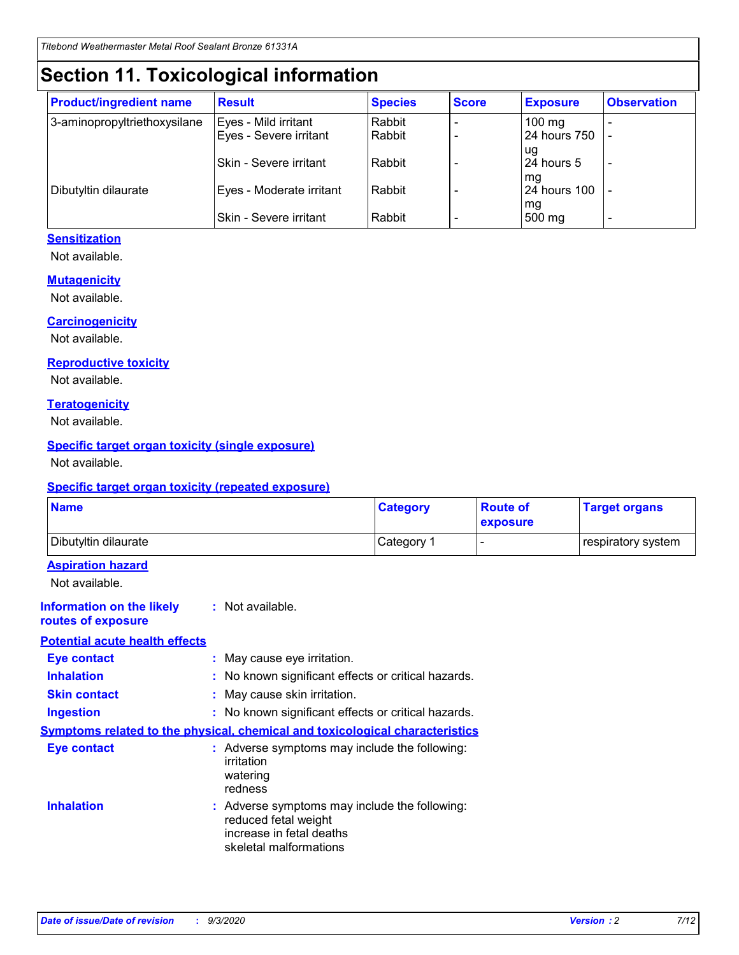## **Section 11. Toxicological information**

| <b>Product/ingredient name</b> | <b>Result</b>            | <b>Species</b> | <b>Score</b> | <b>Exposure</b>           | <b>Observation</b> |
|--------------------------------|--------------------------|----------------|--------------|---------------------------|--------------------|
| 3-aminopropyltriethoxysilane   | Eyes - Mild irritant     | Rabbit         |              | $100$ mg                  |                    |
|                                | Eyes - Severe irritant   | Rabbit         |              | 24 hours 750              |                    |
|                                |                          |                |              | ug                        |                    |
|                                | Skin - Severe irritant   | Rabbit         |              | 24 hours 5                | -                  |
| Dibutyltin dilaurate           | Eyes - Moderate irritant | Rabbit         |              | mg<br><b>24 hours 100</b> |                    |
|                                |                          |                |              | mg                        |                    |
|                                | Skin - Severe irritant   | Rabbit         |              | 500 mg                    | -                  |

### **Sensitization**

Not available.

### **Mutagenicity**

Not available.

### **Carcinogenicity**

Not available.

#### **Reproductive toxicity**

Not available.

### **Teratogenicity**

Not available.

### **Specific target organ toxicity (single exposure)**

Not available.

### **Specific target organ toxicity (repeated exposure)**

| <b>Name</b>                                                                  |                                                                                                                             | <b>Category</b>                                     | <b>Route of</b><br>exposure | <b>Target organs</b> |  |  |
|------------------------------------------------------------------------------|-----------------------------------------------------------------------------------------------------------------------------|-----------------------------------------------------|-----------------------------|----------------------|--|--|
| Dibutyltin dilaurate                                                         |                                                                                                                             | Category 1                                          |                             | respiratory system   |  |  |
| <b>Aspiration hazard</b><br>Not available.                                   |                                                                                                                             |                                                     |                             |                      |  |  |
| <b>Information on the likely</b><br>routes of exposure                       | : Not available.                                                                                                            |                                                     |                             |                      |  |  |
| <b>Potential acute health effects</b>                                        |                                                                                                                             |                                                     |                             |                      |  |  |
| <b>Eye contact</b>                                                           |                                                                                                                             | : May cause eye irritation.                         |                             |                      |  |  |
| <b>Inhalation</b>                                                            |                                                                                                                             | : No known significant effects or critical hazards. |                             |                      |  |  |
| <b>Skin contact</b>                                                          |                                                                                                                             | : May cause skin irritation.                        |                             |                      |  |  |
| <b>Ingestion</b>                                                             |                                                                                                                             | : No known significant effects or critical hazards. |                             |                      |  |  |
| Symptoms related to the physical, chemical and toxicological characteristics |                                                                                                                             |                                                     |                             |                      |  |  |
| <b>Eye contact</b>                                                           | : Adverse symptoms may include the following:<br>irritation<br>watering<br>redness                                          |                                                     |                             |                      |  |  |
| <b>Inhalation</b>                                                            | : Adverse symptoms may include the following:<br>reduced fetal weight<br>increase in fetal deaths<br>skeletal malformations |                                                     |                             |                      |  |  |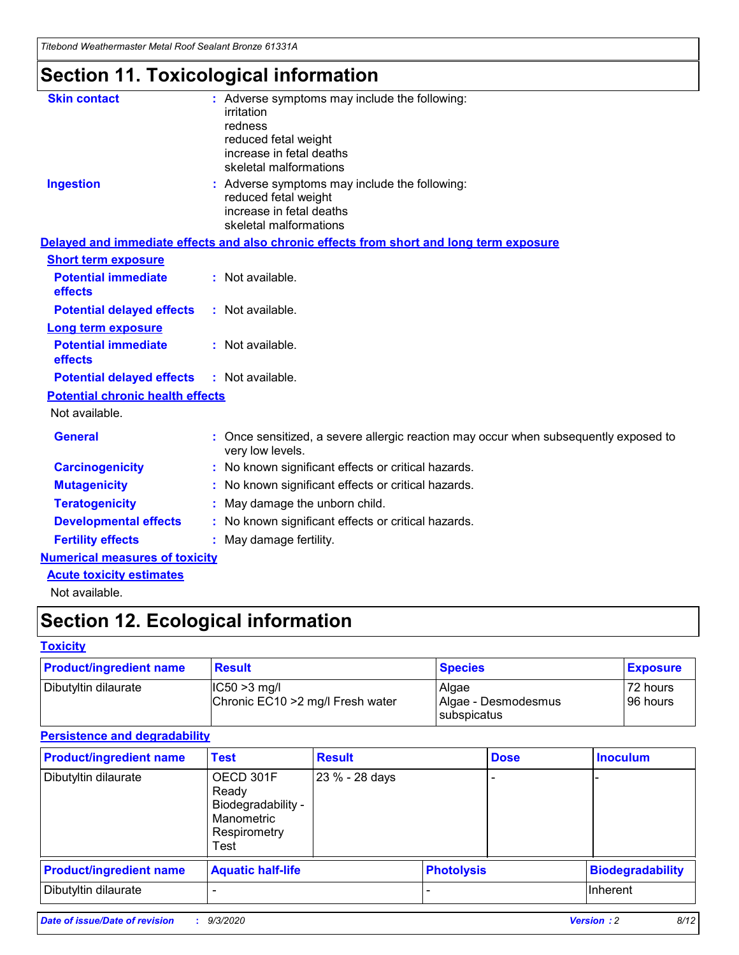*Titebond Weathermaster Metal Roof Sealant Bronze 61331A*

## **Section 11. Toxicological information**

| <b>Skin contact</b>                     | : Adverse symptoms may include the following:<br>irritation                                                                 |  |
|-----------------------------------------|-----------------------------------------------------------------------------------------------------------------------------|--|
|                                         | redness                                                                                                                     |  |
|                                         | reduced fetal weight<br>increase in fetal deaths                                                                            |  |
|                                         | skeletal malformations                                                                                                      |  |
| <b>Ingestion</b>                        | : Adverse symptoms may include the following:<br>reduced fetal weight<br>increase in fetal deaths<br>skeletal malformations |  |
|                                         | Delayed and immediate effects and also chronic effects from short and long term exposure                                    |  |
| <b>Short term exposure</b>              |                                                                                                                             |  |
| <b>Potential immediate</b><br>effects   | : Not available.                                                                                                            |  |
| <b>Potential delayed effects</b>        | : Not available.                                                                                                            |  |
| <b>Long term exposure</b>               |                                                                                                                             |  |
| <b>Potential immediate</b><br>effects   | : Not available.                                                                                                            |  |
| <b>Potential delayed effects</b>        | : Not available.                                                                                                            |  |
| <b>Potential chronic health effects</b> |                                                                                                                             |  |
| Not available.                          |                                                                                                                             |  |
| <b>General</b>                          | : Once sensitized, a severe allergic reaction may occur when subsequently exposed to<br>very low levels.                    |  |
| <b>Carcinogenicity</b>                  | : No known significant effects or critical hazards.                                                                         |  |
| <b>Mutagenicity</b>                     | : No known significant effects or critical hazards.                                                                         |  |
| <b>Teratogenicity</b>                   | May damage the unborn child.                                                                                                |  |
| <b>Developmental effects</b>            | : No known significant effects or critical hazards.                                                                         |  |
| <b>Fertility effects</b>                | : May damage fertility.                                                                                                     |  |
| <b>Numerical measures of toxicity</b>   |                                                                                                                             |  |
| <b>Acute toxicity estimates</b>         |                                                                                                                             |  |
| والمادانون والملا                       |                                                                                                                             |  |

Not available.

## **Section 12. Ecological information**

### **Toxicity**

| <b>Product/ingredient name</b> | <b>Result</b>                                       | <b>Species</b>               | <b>Exposure</b>       |
|--------------------------------|-----------------------------------------------------|------------------------------|-----------------------|
| Dibutyltin dilaurate           | $ CC50>3$ mg/l<br>Chronic EC10 > 2 mg/l Fresh water | Algae<br>Algae - Desmodesmus | 72 hours<br>196 hours |
|                                |                                                     | <b>I</b> subspicatus         |                       |

### **Persistence and degradability**

| <b>Product/ingredient name</b> | <b>Test</b>                                                                    | <b>Result</b>  |                   | <b>Dose</b> | <b>Inoculum</b>         |
|--------------------------------|--------------------------------------------------------------------------------|----------------|-------------------|-------------|-------------------------|
| Dibutyltin dilaurate           | OECD 301F<br>Ready<br>Biodegradability -<br>Manometric<br>Respirometry<br>Test | 23 % - 28 days |                   |             |                         |
| <b>Product/ingredient name</b> | <b>Aquatic half-life</b>                                                       |                | <b>Photolysis</b> |             | <b>Biodegradability</b> |
| Dibutyltin dilaurate           |                                                                                |                |                   |             | <b>Inherent</b>         |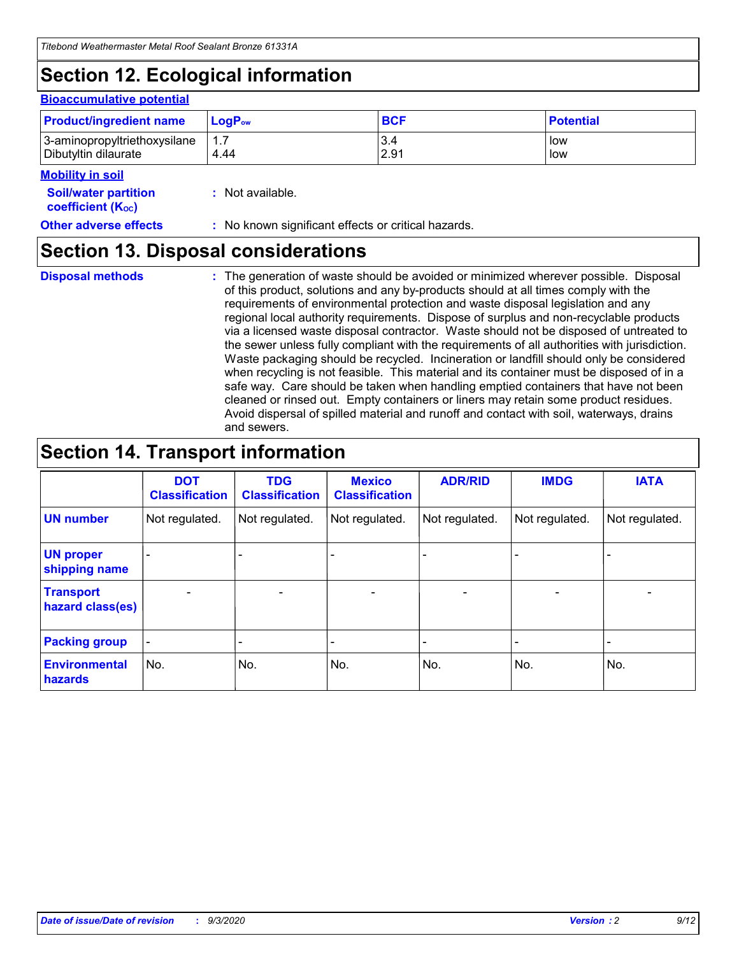## **Section 12. Ecological information**

#### **Bioaccumulative potential**

| <b>Product/ingredient name</b> | $\mathsf{LogP}_\mathsf{ow}$ | <b>BCF</b> | <b>Potential</b> |
|--------------------------------|-----------------------------|------------|------------------|
| 3-aminopropyltriethoxysilane   | 1.7                         | 3.4        | low              |
| Dibutyltin dilaurate           | 4.44                        | 2.91       | low              |

### **Mobility in soil**

| <b>INIUDIIILY III SUII</b>                                    |                                                     |
|---------------------------------------------------------------|-----------------------------------------------------|
| <b>Soil/water partition</b><br>coefficient (K <sub>oc</sub> ) | : Not available.                                    |
| <b>Other adverse effects</b>                                  | : No known significant effects or critical hazards. |

### **Section 13. Disposal considerations**

**Disposal methods :**

The generation of waste should be avoided or minimized wherever possible. Disposal of this product, solutions and any by-products should at all times comply with the requirements of environmental protection and waste disposal legislation and any regional local authority requirements. Dispose of surplus and non-recyclable products via a licensed waste disposal contractor. Waste should not be disposed of untreated to the sewer unless fully compliant with the requirements of all authorities with jurisdiction. Waste packaging should be recycled. Incineration or landfill should only be considered when recycling is not feasible. This material and its container must be disposed of in a safe way. Care should be taken when handling emptied containers that have not been cleaned or rinsed out. Empty containers or liners may retain some product residues. Avoid dispersal of spilled material and runoff and contact with soil, waterways, drains and sewers.

### **Section 14. Transport information**

|                                      | <b>DOT</b><br><b>Classification</b> | <b>TDG</b><br><b>Classification</b> | <b>Mexico</b><br><b>Classification</b> | <b>ADR/RID</b>           | <b>IMDG</b>              | <b>IATA</b>    |
|--------------------------------------|-------------------------------------|-------------------------------------|----------------------------------------|--------------------------|--------------------------|----------------|
| <b>UN number</b>                     | Not regulated.                      | Not regulated.                      | Not regulated.                         | Not regulated.           | Not regulated.           | Not regulated. |
| <b>UN proper</b><br>shipping name    |                                     |                                     |                                        |                          |                          |                |
| <b>Transport</b><br>hazard class(es) |                                     | $\overline{\phantom{0}}$            | $\qquad \qquad \blacksquare$           | $\overline{\phantom{0}}$ | $\overline{\phantom{0}}$ |                |
| <b>Packing group</b>                 |                                     |                                     |                                        |                          |                          |                |
| <b>Environmental</b><br>hazards      | No.                                 | No.                                 | No.                                    | No.                      | No.                      | No.            |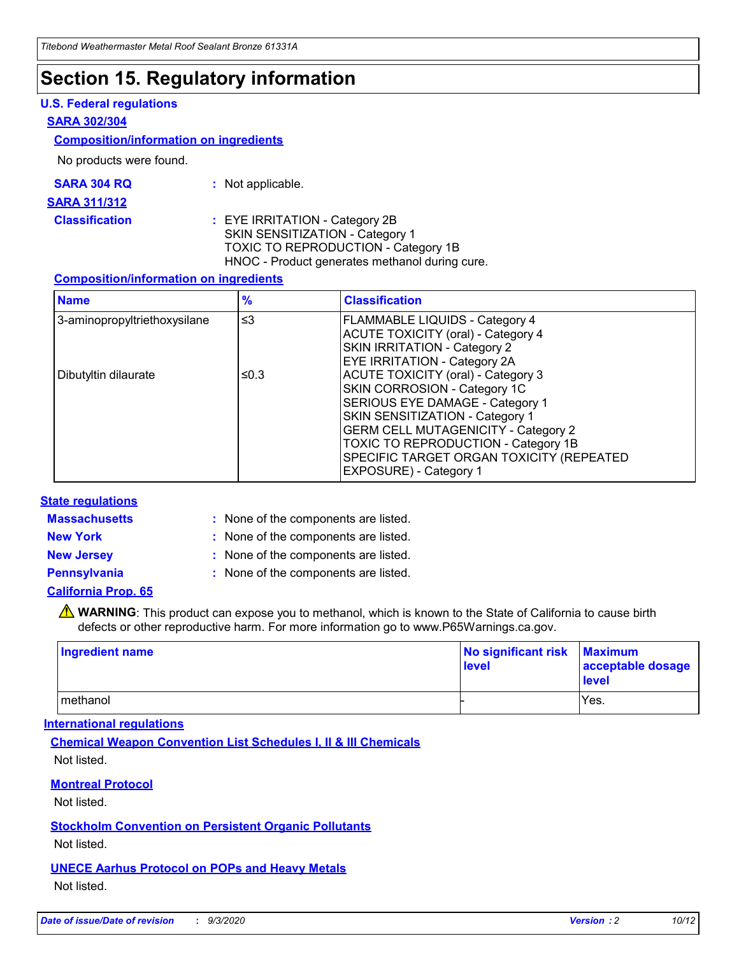## **Section 15. Regulatory information**

### **U.S. Federal regulations**

### **SARA 302/304**

### **Composition/information on ingredients**

No products were found.

| SARA 304 RQ | Not applicable. |
|-------------|-----------------|
|-------------|-----------------|

#### **SARA 311/312**

### **Classification :** EYE IRRITATION - Category 2B SKIN SENSITIZATION - Category 1 TOXIC TO REPRODUCTION - Category 1B HNOC - Product generates methanol during cure.

### **Composition/information on ingredients**

| <b>Name</b>                  | $\frac{9}{6}$ | <b>Classification</b>                                                                                                                                                                                                                                                                                      |
|------------------------------|---------------|------------------------------------------------------------------------------------------------------------------------------------------------------------------------------------------------------------------------------------------------------------------------------------------------------------|
| 3-aminopropyltriethoxysilane | $\leq$ 3      | <b>FLAMMABLE LIQUIDS - Category 4</b><br><b>ACUTE TOXICITY (oral) - Category 4</b><br><b>SKIN IRRITATION - Category 2</b><br>EYE IRRITATION - Category 2A                                                                                                                                                  |
| Dibutyltin dilaurate         | ≤0.3          | <b>ACUTE TOXICITY (oral) - Category 3</b><br>SKIN CORROSION - Category 1C<br>SERIOUS EYE DAMAGE - Category 1<br>SKIN SENSITIZATION - Category 1<br><b>GERM CELL MUTAGENICITY - Category 2</b><br>TOXIC TO REPRODUCTION - Category 1B<br>SPECIFIC TARGET ORGAN TOXICITY (REPEATED<br>EXPOSURE) - Category 1 |

### **State regulations**

**Massachusetts :**

: None of the components are listed.

**New York :** None of the components are listed.

**New Jersey :** None of the components are listed.

**Pennsylvania :** None of the components are listed.

**California Prop. 65**

WARNING: This product can expose you to methanol, which is known to the State of California to cause birth defects or other reproductive harm. For more information go to www.P65Warnings.ca.gov.

| Ingredient name | No significant risk Maximum<br>level | acceptable dosage<br><b>level</b> |
|-----------------|--------------------------------------|-----------------------------------|
| I methanol      |                                      | Yes.                              |

### **International regulations**

**Chemical Weapon Convention List Schedules I, II & III Chemicals** Not listed.

**Montreal Protocol**

Not listed.

**Stockholm Convention on Persistent Organic Pollutants**

Not listed.

**UNECE Aarhus Protocol on POPs and Heavy Metals** Not listed.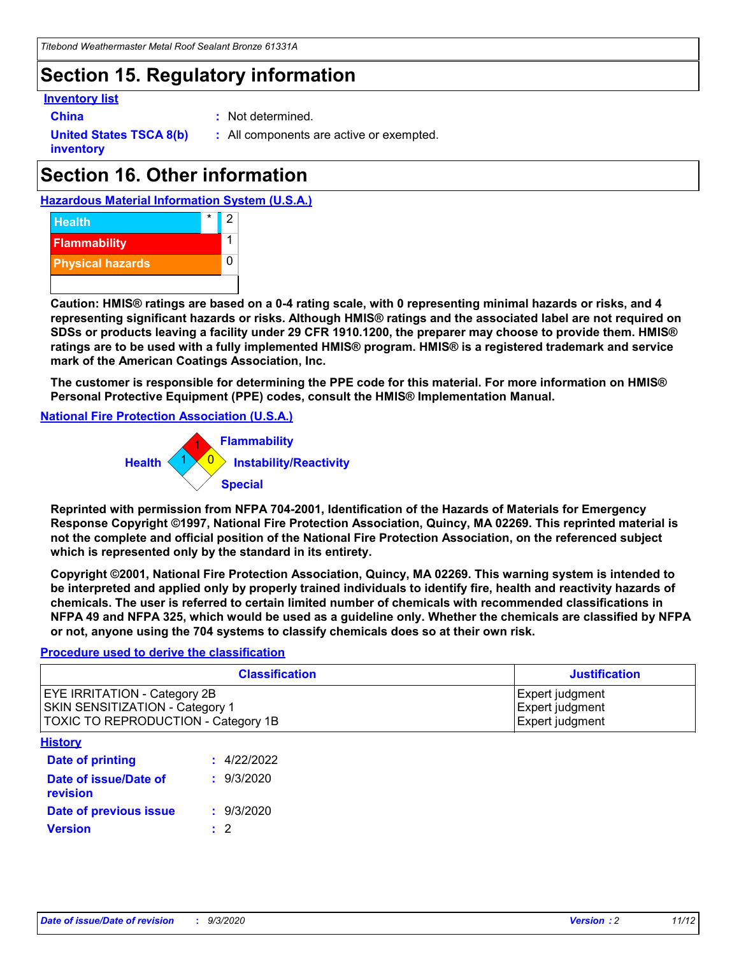## **Section 15. Regulatory information**

### **Inventory list**

- 
- **China :** Not determined.

**United States TSCA 8(b) inventory**

**:** All components are active or exempted.

## **Section 16. Other information**





**Caution: HMIS® ratings are based on a 0-4 rating scale, with 0 representing minimal hazards or risks, and 4 representing significant hazards or risks. Although HMIS® ratings and the associated label are not required on SDSs or products leaving a facility under 29 CFR 1910.1200, the preparer may choose to provide them. HMIS® ratings are to be used with a fully implemented HMIS® program. HMIS® is a registered trademark and service mark of the American Coatings Association, Inc.**

**The customer is responsible for determining the PPE code for this material. For more information on HMIS® Personal Protective Equipment (PPE) codes, consult the HMIS® Implementation Manual.**

**National Fire Protection Association (U.S.A.)**



**Reprinted with permission from NFPA 704-2001, Identification of the Hazards of Materials for Emergency Response Copyright ©1997, National Fire Protection Association, Quincy, MA 02269. This reprinted material is not the complete and official position of the National Fire Protection Association, on the referenced subject which is represented only by the standard in its entirety.**

**Copyright ©2001, National Fire Protection Association, Quincy, MA 02269. This warning system is intended to be interpreted and applied only by properly trained individuals to identify fire, health and reactivity hazards of chemicals. The user is referred to certain limited number of chemicals with recommended classifications in NFPA 49 and NFPA 325, which would be used as a guideline only. Whether the chemicals are classified by NFPA or not, anyone using the 704 systems to classify chemicals does so at their own risk.**

### **Procedure used to derive the classification**

| <b>Classification</b>                                                                                         | <b>Justification</b>                                  |
|---------------------------------------------------------------------------------------------------------------|-------------------------------------------------------|
| <b>EYE IRRITATION - Category 2B</b><br>SKIN SENSITIZATION - Category 1<br>TOXIC TO REPRODUCTION - Category 1B | Expert judgment<br>Expert judgment<br>Expert judgment |
| <b>History</b>                                                                                                |                                                       |

| .                                 |             |
|-----------------------------------|-------------|
| <b>Date of printing</b>           | : 4/22/2022 |
| Date of issue/Date of<br>revision | : 9/3/2020  |
| Date of previous issue            | : 9/3/2020  |
| <b>Version</b>                    | $\cdot$ 2   |
|                                   |             |